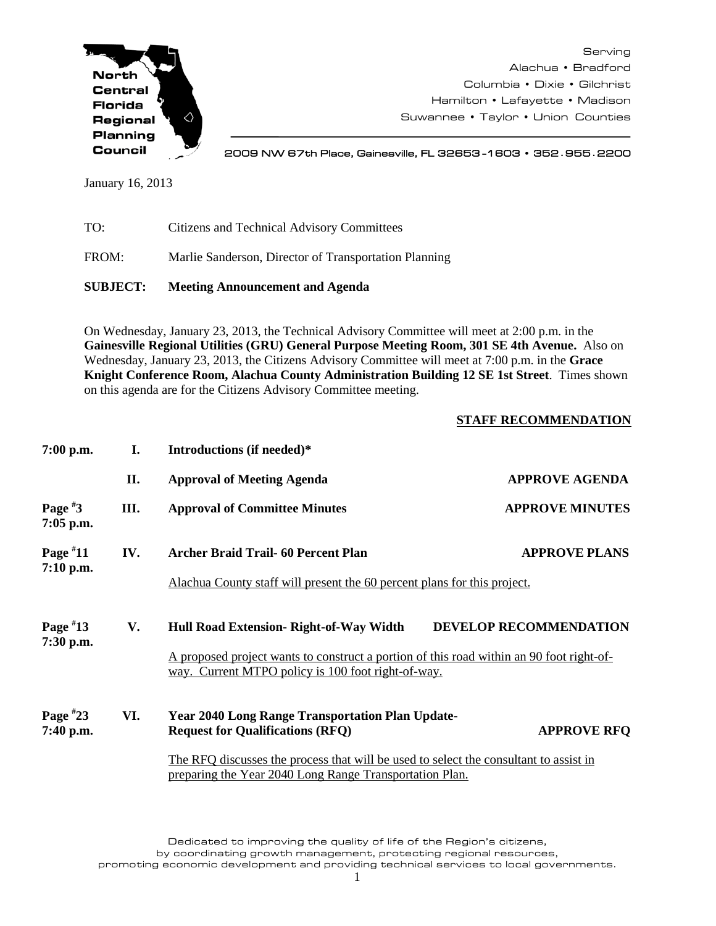

Serving Alachua • Bradford Columbia • Dixie • Gilchrist Hamilton • Lafayette • Madison Suwannee • Taylor • Union Counties

2009 NW 67th Place, Gainesville, FL 32653 -1603 • 352**.**955**.**2200

January 16, 2013

| <b>SUBJECT:</b> | <b>Meeting Announcement and Agenda</b>                |  |
|-----------------|-------------------------------------------------------|--|
| FROM:           | Marlie Sanderson, Director of Transportation Planning |  |
| TO:             | Citizens and Technical Advisory Committees            |  |

On Wednesday, January 23, 2013, the Technical Advisory Committee will meet at 2:00 p.m. in the **Gainesville Regional Utilities (GRU) General Purpose Meeting Room, 301 SE 4th Avenue.** Also on Wednesday, January 23, 2013, the Citizens Advisory Committee will meet at 7:00 p.m. in the **Grace Knight Conference Room, Alachua County Administration Building 12 SE 1st Street**. Times shown on this agenda are for the Citizens Advisory Committee meeting.

## **STAFF RECOMMENDATION**

| $7:00$ p.m.               | L.  | Introductions (if needed)*                                                                                                                       |                               |  |
|---------------------------|-----|--------------------------------------------------------------------------------------------------------------------------------------------------|-------------------------------|--|
|                           | II. | <b>Approval of Meeting Agenda</b>                                                                                                                | <b>APPROVE AGENDA</b>         |  |
| Page $*3$<br>7:05 p.m.    | Ш.  | <b>Approval of Committee Minutes</b>                                                                                                             | <b>APPROVE MINUTES</b>        |  |
| Page $*11$                | IV. | Archer Braid Trail 60 Percent Plan                                                                                                               | <b>APPROVE PLANS</b>          |  |
| 7:10 p.m.                 |     | Alachua County staff will present the 60 percent plans for this project.                                                                         |                               |  |
| Page $*13$                | V.  | Hull Road Extension- Right-of-Way Width                                                                                                          | <b>DEVELOP RECOMMENDATION</b> |  |
| 7:30 p.m.                 |     | A proposed project wants to construct a portion of this road within an 90 foot right-of-<br>way. Current MTPO policy is 100 foot right-of-way.   |                               |  |
| Page $*23$<br>$7:40$ p.m. | VI. | <b>Year 2040 Long Range Transportation Plan Update-</b><br><b>Request for Qualifications (RFQ)</b>                                               | <b>APPROVE RFQ</b>            |  |
|                           |     | The RFQ discusses the process that will be used to select the consultant to assist in<br>preparing the Year 2040 Long Range Transportation Plan. |                               |  |